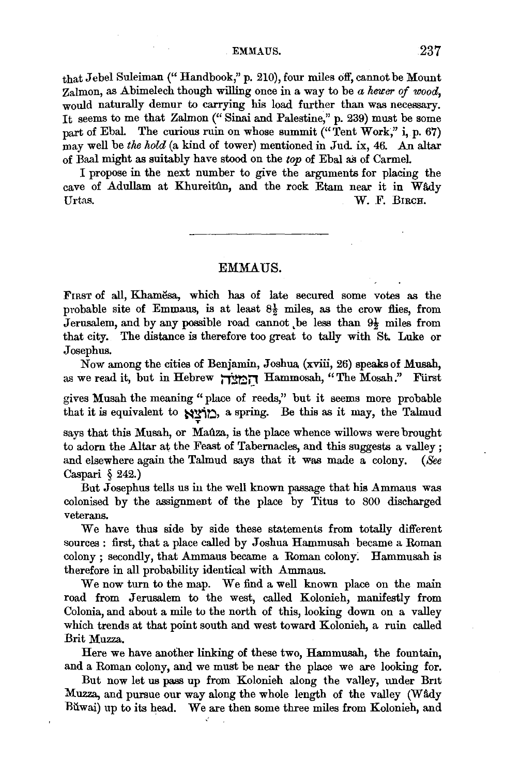EMMAUS. 237

that Jebel Suleiman(" Handbook,'' p. 210), four miles off, cannot be Mount Zalmon, as Abimelech though willing once in a way to be *a heuer of wood*, would naturally demur to carrying his load further than was necessary. It seems to me that Zalmon (" Sinai and Palestine," p. 239} must be some part of Ebal. The curious ruin on whose summit ("Tent Work," i, p. 67) may well be *the hold* (a kind of tower) mentioned in Jud. ix, 46. An altar of Baal might as suitably have stood on the *top* of Ebal as of Carmel.

I propose in the next number to give the arguments for placing the cave of Adullam at Khureitûn, and the rock Etam near it in Wâdy Urtas. W. F. BIRCH.

## EMMAUS.

FIRST of all, Khamesa, which has of late secured some votes as the probable site of Emmaus, is at least  $8\frac{1}{2}$  miles, as the crow flies, from Jerusalem, and by any possible road cannot be less than  $9\frac{1}{2}$  miles from that city. The distance is therefore too great to tally with St. Luke or Josephus.

Now among the cities of Benjamin, Joshua (xviii, 26) speaks of Musah, as we read it, but in Hebrew הַמַּעֲרֹךְ Hammosah, "The Mosah." Furst

gives Musah the meaning "place of reeds," but it seems more probable that it is equivalent to  $\frac{N}{2}$ , a spring. Be this as it may, the Talmud

says that this Musah, or Maûza, is the place whence willows were brought to adorn the Altar at the Feast of Tabernacles, and this suggests a valley ; and elsewhere again the Talmud says that it was made a colony. *(See*  Caspari § 242.)

But Josephus tells us in the well known passage that his Ammaus was colonised by the assignment of the place by Titus to 800 discharged veterans.

We have thus side by side these statements from totally different sources : first, that a place called by Joshua Hammusah became a Roman colony ; secondly, that Ammaus became a Roman colony: Hammusah is therefore in all probability identical with Ammaus.

We now turn to the map. We find a well known place on the main road from Jerusalem to the west, called Kolonieh, manifestly from Colonia, and about a mile to the north of this, looking down on a valley which trends at that point south and west toward Kolonieh, a ruin called Brit Muzza.

Here we have another linking of these two, Hammusah, the fountain, and a Roman colony, and we must be near the place we are looking for.

But now let us pass up from Kolonieh along the valley, under Brit Muzza, and pursue our way along the whole length of the valley (Wady Ruwai) up to its head. We are then some three miles from Kolonieh, and